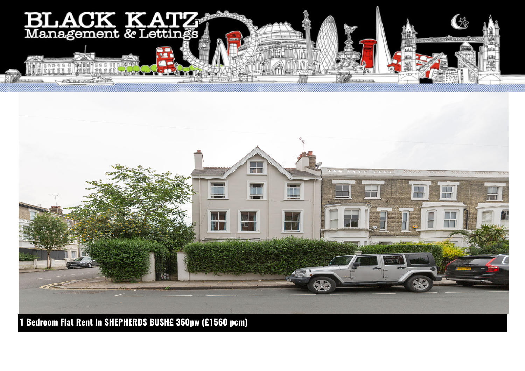



**1 Bedroom Flat Rent In SHEPHERDS BUSH£ 360pw (£1560 pcm)**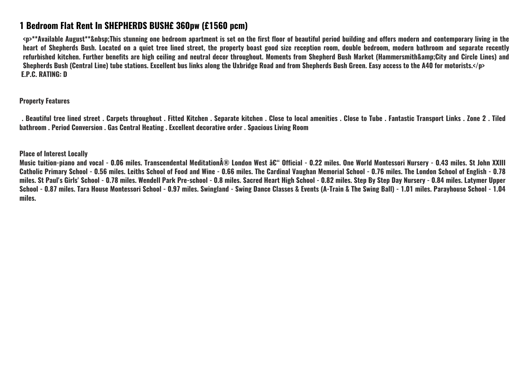## **1 Bedroom Flat Rent In SHEPHERDS BUSH£ 360pw (£1560 pcm)**

**<p>\*\*Available August\*\*&nbsp;This stunning one bedroom apartment is set on the first floor of beautiful period building and offers modern and contemporary living in the heart of Shepherds Bush. Located on a quiet tree lined street, the property boast good size reception room, double bedroom, modern bathroom and separate recently** refurbished kitchen. Further benefits are high ceiling and neutral decor throughout. Moments from Shepherd Bush Market (Hammersmith&amp:City and Circle Lines) and **Shepherds Bush (Central Line) tube stations. Excellent bus links along the Uxbridge Road and from Shepherds Bush Green. Easy access to the A40 for motorists.</p> E.P.C. RATING: D**

**Property Features**

 **. Beautiful tree lined street . Carpets throughout . Fitted Kitchen . Separate kitchen . Close to local amenities . Close to Tube . Fantastic Transport Links . Zone 2 . Tiled bathroom . Period Conversion . Gas Central Heating . Excellent decorative order . Spacious Living Room**

**Place of Interest Locally**

Music tuition-piano and vocal - 0.06 miles. Transcendental Meditation® London West – Official - 0.22 miles. One World Montessori Nursery - 0.43 miles. St John XXIII **Catholic Primary School - 0.56 miles. Leiths School of Food and Wine - 0.66 miles. The Cardinal Vaughan Memorial School - 0.76 miles. The London School of English - 0.78 miles. St Paul's Girls' School - 0.78 miles. Wendell Park Pre-school - 0.8 miles. Sacred Heart High School - 0.82 miles. Step By Step Day Nursery - 0.84 miles. Latymer Upper School - 0.87 miles. Tara House Montessori School - 0.97 miles. Swingland - Swing Dance Classes & Events (A-Train & The Swing Ball) - 1.01 miles. Parayhouse School - 1.04 miles.**